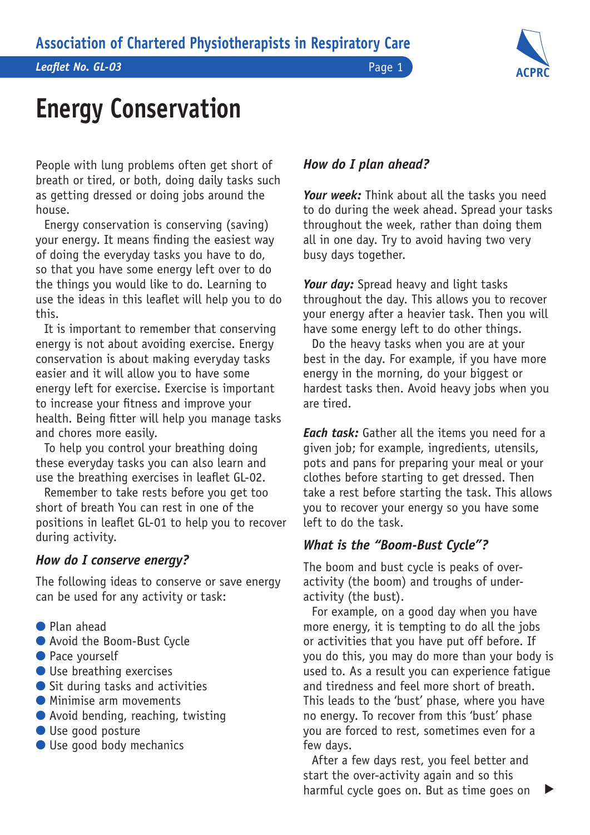*Leaflet No. GL-03* Page 1

# **ACPRC**

# **Energy Conservation**

People with lung problems often get short of breath or tired, or both, doing daily tasks such as getting dressed or doing jobs around the house.

Energy conservation is conserving (saving) your energy. It means finding the easiest way of doing the everyday tasks you have to do, so that you have some energy left over to do the things you would like to do. Learning to use the ideas in this leaflet will help you to do this.

It is important to remember that conserving energy is not about avoiding exercise. Energy conservation is about making everyday tasks easier and it will allow you to have some energy left for exercise. Exercise is important to increase your fitness and improve your health. Being fitter will help you manage tasks and chores more easily.

To help you control your breathing doing these everyday tasks you can also learn and use the breathing exercises in leaflet GL-02.

Remember to take rests before you get too short of breath You can rest in one of the positions in leaflet GL-01 to help you to recover during activity.

#### *How do I conserve energy?*

The following ideas to conserve or save energy can be used for any activity or task:

- Plan ahead
- Avoid the Boom-Bust Cycle
- **Pace yourself**
- $\bullet$  Use breathing exercises
- $\bullet$  Sit during tasks and activities
- **C** Minimise arm movements
- Avoid bending, reaching, twisting
- **I** Use good posture
- Use good body mechanics

### *How do I plan ahead?*

*Your week:* Think about all the tasks you need to do during the week ahead. Spread your tasks throughout the week, rather than doing them all in one day. Try to avoid having two very busy days together.

*Your day:* Spread heavy and light tasks throughout the day. This allows you to recover your energy after a heavier task. Then you will have some energy left to do other things.

Do the heavy tasks when you are at your best in the day. For example, if you have more energy in the morning, do your biggest or hardest tasks then. Avoid heavy jobs when you are tired.

*Each task:* Gather all the items you need for a given job; for example, ingredients, utensils, pots and pans for preparing your meal or your clothes before starting to get dressed. Then take a rest before starting the task. This allows you to recover your energy so you have some left to do the task.

# *What is the "Boom-Bust Cycle"?*

The boom and bust cycle is peaks of overactivity (the boom) and troughs of underactivity (the bust).

For example, on a good day when you have more energy, it is tempting to do all the jobs or activities that you have put off before. If you do this, you may do more than your body is used to. As a result you can experience fatigue and tiredness and feel more short of breath. This leads to the 'bust' phase, where you have no energy. To recover from this 'bust' phase you are forced to rest, sometimes even for a few days.

After a few days rest, you feel better and start the over-activity again and so this harmful cycle goes on. But as time goes on

 $\blacktriangleright$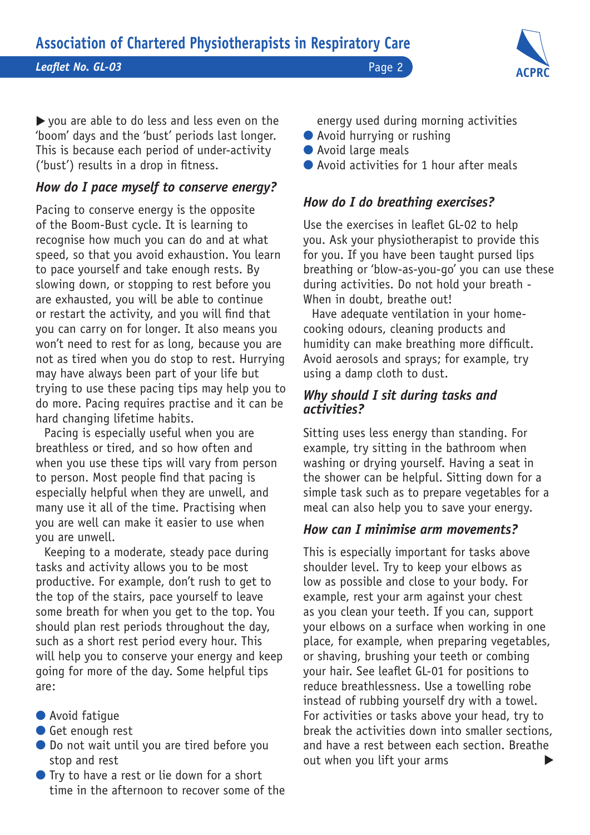*Leaflet No. GL-03* Page 2



you are able to do less and less even on the 'boom' days and the 'bust' periods last longer. This is because each period of under-activity ('bust') results in a drop in fitness.

# *How do I pace myself to conserve energy?*

Pacing to conserve energy is the opposite of the Boom-Bust cycle. It is learning to recognise how much you can do and at what speed, so that you avoid exhaustion. You learn to pace yourself and take enough rests. By slowing down, or stopping to rest before you are exhausted, you will be able to continue or restart the activity, and you will find that you can carry on for longer. It also means you won't need to rest for as long, because you are not as tired when you do stop to rest. Hurrying may have always been part of your life but trying to use these pacing tips may help you to do more. Pacing requires practise and it can be hard changing lifetime habits.

Pacing is especially useful when you are breathless or tired, and so how often and when you use these tips will vary from person to person. Most people find that pacing is especially helpful when they are unwell, and many use it all of the time. Practising when you are well can make it easier to use when you are unwell.

Keeping to a moderate, steady pace during tasks and activity allows you to be most productive. For example, don't rush to get to the top of the stairs, pace yourself to leave some breath for when you get to the top. You should plan rest periods throughout the day, such as a short rest period every hour. This will help you to conserve your energy and keep going for more of the day. Some helpful tips are:

- Avoid fatique
- **Get enough rest**
- l Do not wait until you are tired before you stop and rest
- $\bullet$  Try to have a rest or lie down for a short time in the afternoon to recover some of the

energy used during morning activities

- Avoid hurrying or rushing
- Avoid large meals
- Avoid activities for 1 hour after meals

# *How do I do breathing exercises?*

Use the exercises in leaflet GL-02 to help you. Ask your physiotherapist to provide this for you. If you have been taught pursed lips breathing or 'blow-as-you-go' you can use these during activities. Do not hold your breath - When in doubt, breathe out!

Have adequate ventilation in your homecooking odours, cleaning products and humidity can make breathing more difficult. Avoid aerosols and sprays; for example, try using a damp cloth to dust.

#### *Why should I sit during tasks and activities?*

Sitting uses less energy than standing. For example, try sitting in the bathroom when washing or drying yourself. Having a seat in the shower can be helpful. Sitting down for a simple task such as to prepare vegetables for a meal can also help you to save your energy.

#### *How can I minimise arm movements?*

This is especially important for tasks above shoulder level. Try to keep your elbows as low as possible and close to your body. For example, rest your arm against your chest as you clean your teeth. If you can, support your elbows on a surface when working in one place, for example, when preparing vegetables, or shaving, brushing your teeth or combing your hair. See leaflet GL-01 for positions to reduce breathlessness. Use a towelling robe instead of rubbing yourself dry with a towel. For activities or tasks above your head, try to break the activities down into smaller sections, and have a rest between each section. Breathe out when you lift your arms  $\blacktriangleright$